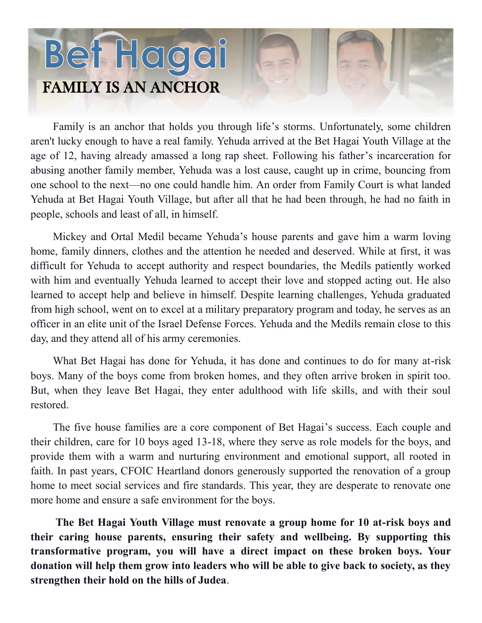## Bet Hagai FAMILY IS AN ANCHOR

Family is an anchor that holds you through life's storms. Unfortunately, some children aren't lucky enough to have a real family. Yehuda arrived at the Bet Hagai Youth Village at the age of 12, having already amassed a long rap sheet. Following his father's incarceration for abusing another family member, Yehuda was a lost cause, caught up in crime, bouncing from one school to the next—no one could handle him. An order from Family Court is what landed Yehuda at Bet Hagai Youth Village, but after all that he had been through, he had no faith in people, schools and least of all, in himself.

Mickey and Ortal Medil became Yehuda's house parents and gave him a warm loving home, family dinners, clothes and the attention he needed and deserved. While at first, it was difficult for Yehuda to accept authority and respect boundaries, the Medils patiently worked with him and eventually Yehuda learned to accept their love and stopped acting out. He also learned to accept help and believe in himself. Despite learning challenges, Yehuda graduated from high school, went on to excel at a military preparatory program and today, he serves as an officer in an elite unit of the Israel Defense Forces. Yehuda and the Medils remain close to this day, and they attend all of his army ceremonies.

What Bet Hagai has done for Yehuda, it has done and continues to do for many at-risk boys. Many of the boys come from broken homes, and they often arrive broken in spirit too. But, when they leave Bet Hagai, they enter adulthood with life skills, and with their soul restored.

The five house families are a core component of Bet Hagai's success. Each couple and their children, care for 10 boys aged 13-18, where they serve as role models for the boys, and provide them with a warm and nurturing environment and emotional support, all rooted in faith. In past years, CFOIC Heartland donors generously supported the renovation of a group home to meet social services and fire standards. This year, they are desperate to renovate one more home and ensure a safe environment for the boys.

**The Bet Hagai Youth Village must renovate a group home for 10 at-risk boys and their caring house parents, ensuring their safety and wellbeing. By supporting this transformative program, you will have a direct impact on these broken boys. Your donation will help them grow into leaders who will be able to give back to society, as they strengthen their hold on the hills of Judea**.